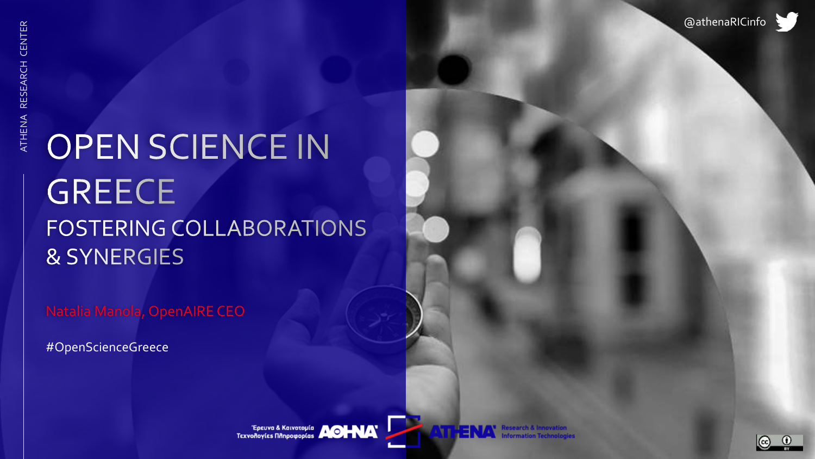### **OPEN SCIENCE IN GREECE** FOSTERING COLLABORATIONS **& SYNERGIES**

Natalia Manola, OpenAIRE CEO

#OpenScienceGreece

Epcuva & Kaivotopia **AOHAA** 



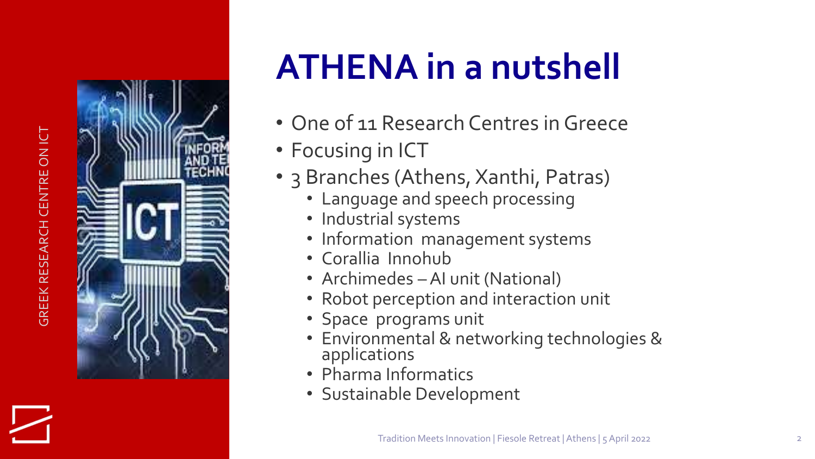# **GREEK RESEARCH CENTRE ON ICT** GREEK RESEARCH CENTRE ON ICT



# **ATHENA in a nutshell**

- One of 11 Research Centres in Greece
- Focusing in ICT
- 3 Branches (Athens, Xanthi, Patras)<br>• Language and speech processing<br>• Industrial systems
	-
	-
	- Information management systems
	- Corallia Innohub
	-
	- Archimedes AI unit (National)<br>• Robot perception and interaction unit
	- Space programs unit
	- Environmental & networking technologies & applications
	- Pharma Informatics
	- Sustainable Development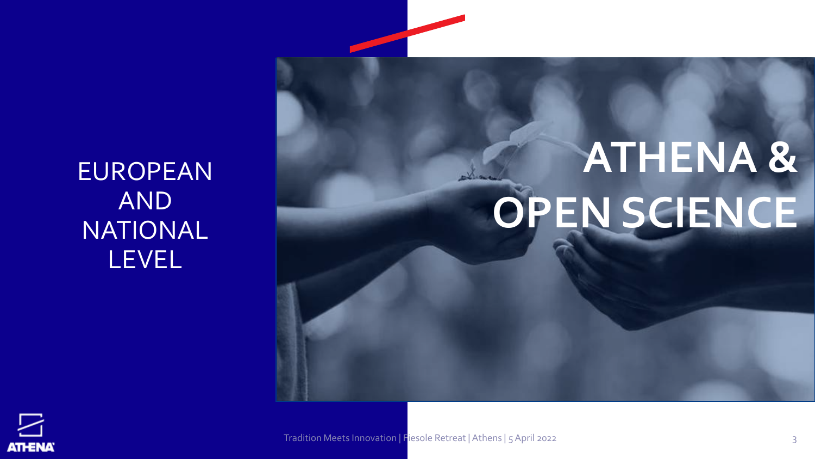EUROPEAN AND NATIONAL LEVEL

# **ATHENA & OPEN SCIENCE**



Tradition Meets Innovation | Fiesole Retreat | Athens | 5 April 2022 3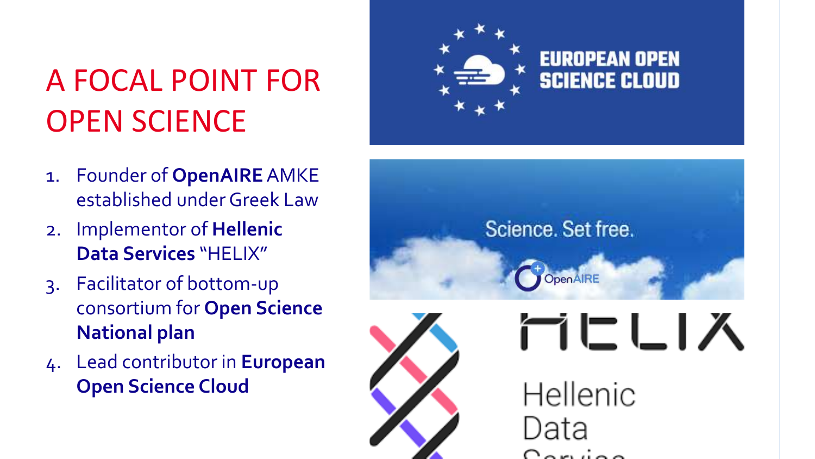### A FOCAL POINT FOR OPEN SCIENCE

- 1. Founder of **OpenAIRE**AMKE established under Greek Law
- 2. Implementor of **Hellenic Data Services** "HELIX"
- 3. Facilitator of bottom-up consortium for **Open Science National plan**
- 4. Lead contributor in **European Open Science Cloud**



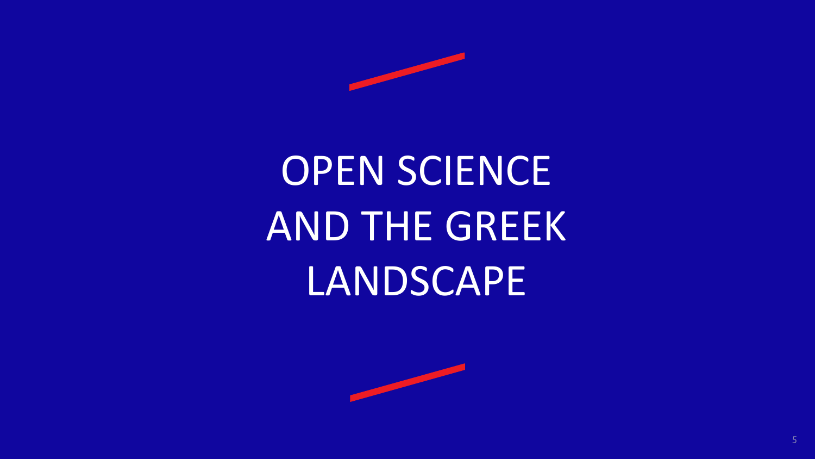

# OPEN SCIENCE AND THE GREEK **LANDSCAPE**

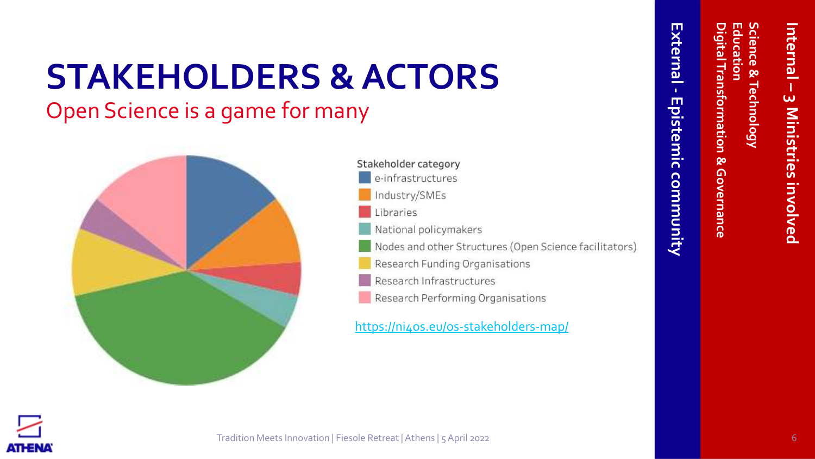# **STAKEHOLDERS & ACTORS**

Open Science is a game for many



Stakeholder category e-infrastructures Industry/SMEs Libraries National policymakers Nodes and other Structures (Open Science facilitators) Research Funding Organisations Research Infrastructures Research Performing Organisations

<https://ni4os.eu/os-stakeholders-map/>

**Digital Transformation & Governance**

& Governance

igital Transformation

**Education**

ducation

**Science & Technology**

**Technology** 

cience &



**Internal** 

**–**

**3 Ministries involved**

3 Ministries involved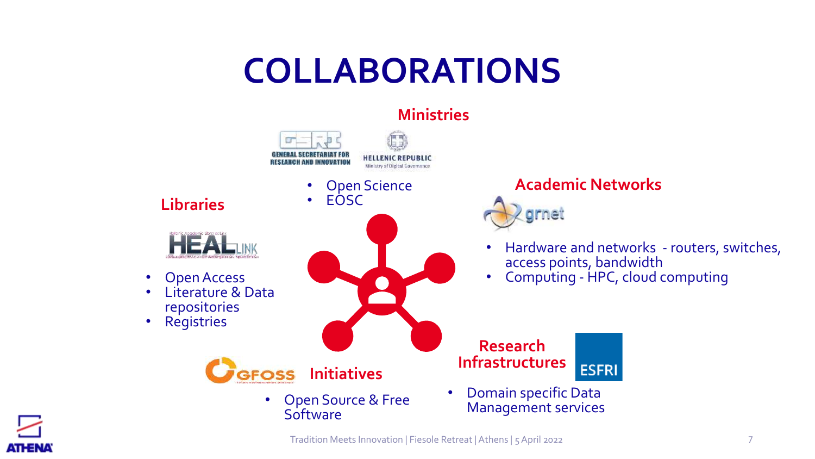### **COLLABORATIONS**



Tradition Meets Innovation | Fiesole Retreat | Athens | 5 April 2022 7

ATHENA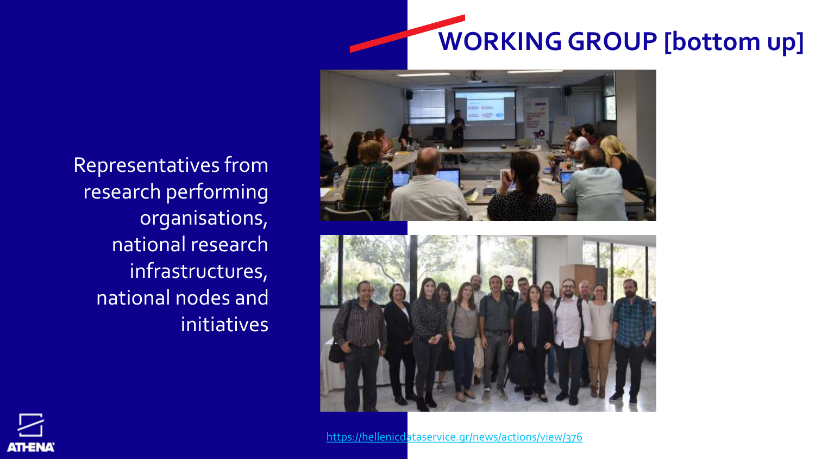# **WORKING GROUP [bottom up]**





<https://hellenicdataservice.gr/news/actions/view/376>

Representatives from research performing organisations, national research infrastructures, national nodes and initiatives

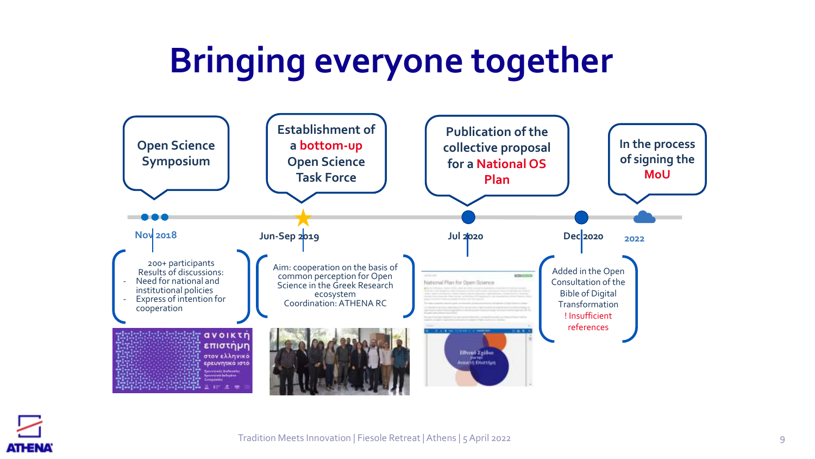# **Bringing everyone together**



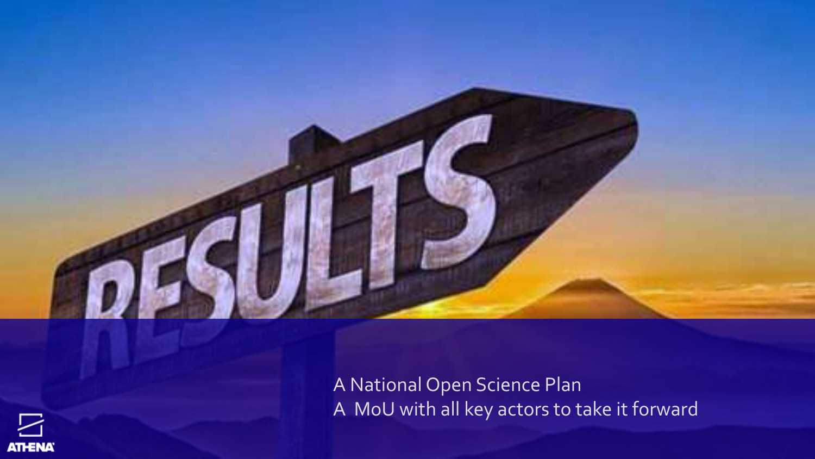

A National Open Science Plan A MoU with all key actors to take it forward

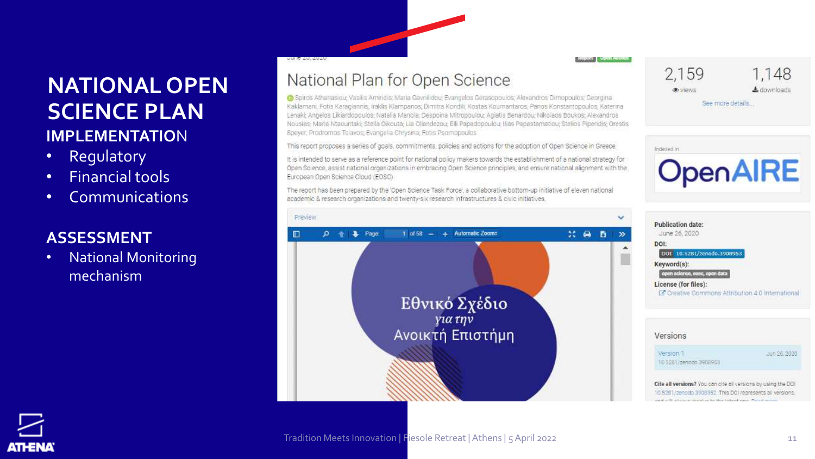#### **NATIONAL OPEN SCIENCE PLAN IMPLEMENTATIO**N

- Regulatory
- Financial tools
- Communications

#### **ASSESSMENT**

• National Monitoring mechanism

#### National Plan for Open Science

O Spiros Athanasiou; Vasilis Amiridas; Maria Gavrillidou; Evangelos Gerasopoulos; Alexandros Dimopoulos: Georgina Kaklamani, Fotis Karagiannis, Iraklis Klampanos, Dimitra Kondili, Kostas Koumantaros, Panos Konstantopoulos, Katerina Lenaki; Angelos Likiardopoulos; Natalia Manola; Despoina Mitropoulou; Agiatis Benardou; Nikolaos Boukos; Alexandros Nousias: Maria Ntaountaki; Stella Oikouta; Lia Ollandezou; Elli Papadopoulou: Ilias Papastamatiou; Stellos Piperidis; Orestis Speyer, Prodromos Tsiavos; Evangelia Chrysina; Fotis Psomopoulos

This report proposes a series of goals, commitments, policies and actions for the adoption of Open Science in Greece.

It is intended to serve as a reference point for national policy makers towards the establishment of a national strategy for Open Science, assist national organizations in embracing Open Science principles, and ensure national alignment with the European Open Science Cloud (EOSC)

The report has been prepared by the 'Open Science Task Force', a collaborative bottom-up initiative of eleven national academic & research organizations and twenty-six research infrastructures & civic initiatives.



2,159

® views



See more details.



| C Creative Commons Attribution 4.0 International |
|--------------------------------------------------|
|                                                  |
|                                                  |
|                                                  |
|                                                  |
| uun 26-2020                                      |
|                                                  |
|                                                  |

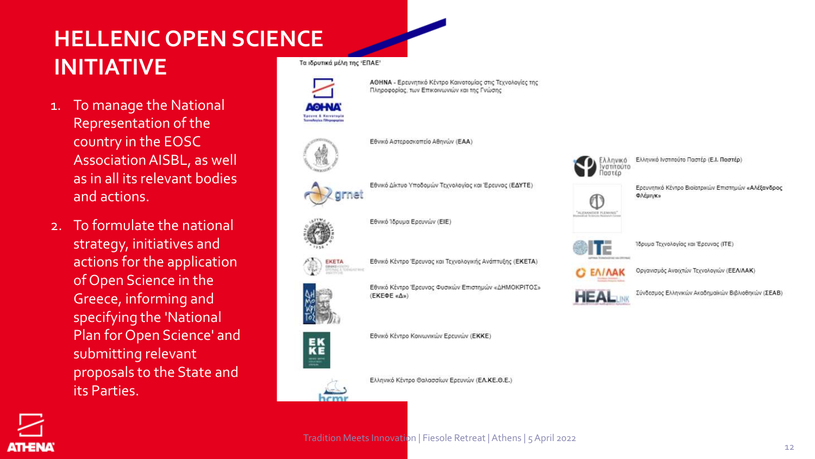### **HELLENIC OPEN SCIENCE INITIATIVE**

- 1. To manage the National Representation of the country in the EOSC Association AISBL, as well as in all its relevant bodies and actions.
- 2. To formulate the national strategy, initiatives and actions for the application of Open Science in the Greece, informing and specifying the 'National Plan for Open Science' and submitting relevant proposals to the State and its Parties.

**ATHENA** 

Τα ιδρυτικά μέλη της 'ΕΠΑΕ'



Εθνικό Δίκτυο Υποδομών Τεχνολογίας και Έρευνας (ΕΔΥΤΕ)

ΑΘΗΝΑ - Ερευνητικό Κέντρο Καινοτομίας στις Τεχνολογίες της

Πληροφορίας, των Επικοινωνιών και της Γνώσης

Εθνικό Αστεροσκοπείο Αθηνών (ΕΑΑ)



Εθνικό Ίδρυμα Ερευνών (ΕΙΕ)



Εθνικό Κέντρο Έρευνας και Τεχνολογικής Ανάπτυξης (ΕΚΕΤΑ)



Εθνικό Κέντρο Έρευνας Φυσικών Επιστημών «ΔΗΜΟΚΡΙΤΟΣ» (ΕΚΕΦΕ «Δ»)



Εθνικό Κέντρο Κοινωνικών Ερευνών (ΕΚΚΕ)

Ελληνικό Κέντρο Θαλασσίων Ερευνών (ΕΛ.ΚΕ.Θ.Ε.)



Ελληνικό Ινστιτούτο Παστέρ (Ε.Ι. Παστέρ)

Ερευνητικό Κέντρο Βιοϊατρικών Επιστημών «Αλέξανδρος **ΦΛέμινκ»** 



Ίδρυμα Τεχνολογίας και Έρευνας (ΙΤΕ)



"ALEXANDER PLEAUNS"

Οργανισμός Ανοιχτών Τεχνολογιών (ΕΕΛΙΛΑΚ)



Σύνδεσμος Ελληνικών Ακαδημαϊκών Βιβλιοθηκών (ΣΕΑΒ)

Tradition Meets Innovation | Fiesole Retreat | Athens | 5 April 2022

12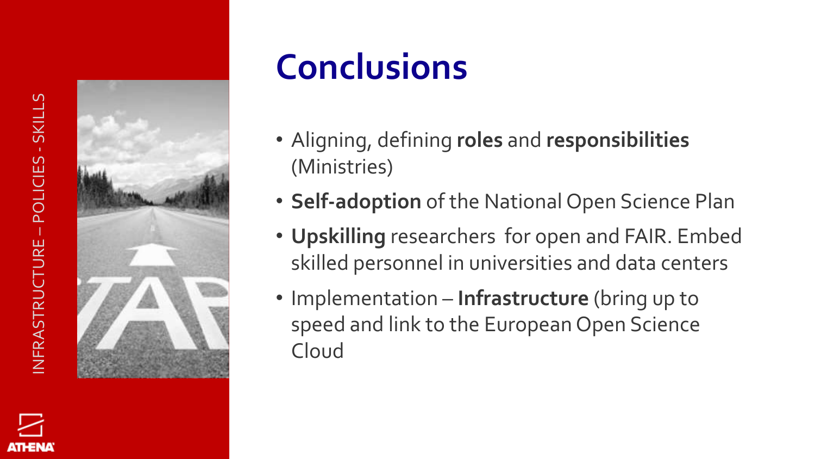ATHENA



# **Conclusions**

- Aligning, defining **roles** and **responsibilities** (Ministries)
- **Self-adoption** of the National Open Science Plan
- **Upskilling** researchers for open and FAIR. Embed skilled personnel in universities and data centers
- Implementation **Infrastructure** (bring up to speed and link to the European Open Science Cloud